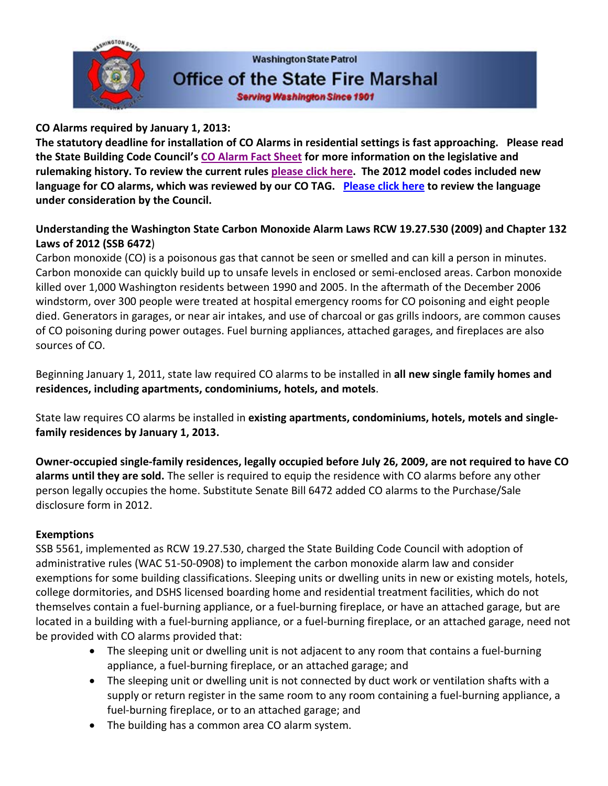

# **CO Alarms required by January 1, 2013:**

**The statutory deadline for installation of CO Alarms in residential settings is fast approaching. Please read the State Building Code Council's [CO Alarm Fact Sheet](https://fortress.wa.gov/ga/apps/sbcc/File.ashx?cid=2255) for more information on the legislative and rulemaking history. To review the current rules [please click here.](https://fortress.wa.gov/ga/apps/sbcc/Page.aspx?nid=168) The 2012 model codes included new language for CO alarms, which was reviewed by our CO TAG. [Please click here](https://fortress.wa.gov/ga/apps/sbcc/File.ashx?cid=2270) to review the language under consideration by the Council.**

# **Understanding the Washington State Carbon Monoxide Alarm Laws RCW 19.27.530 (2009) and Chapter 132 Laws of 2012 (SSB 6472**)

Carbon monoxide (CO) is a poisonous gas that cannot be seen or smelled and can kill a person in minutes. Carbon monoxide can quickly build up to unsafe levels in enclosed or semi-enclosed areas. Carbon monoxide killed over 1,000 Washington residents between 1990 and 2005. In the aftermath of the December 2006 windstorm, over 300 people were treated at hospital emergency rooms for CO poisoning and eight people died. Generators in garages, or near air intakes, and use of charcoal or gas grills indoors, are common causes of CO poisoning during power outages. Fuel burning appliances, attached garages, and fireplaces are also sources of CO.

Beginning January 1, 2011, state law required CO alarms to be installed in **all new single family homes and residences, including apartments, condominiums, hotels, and motels**.

State law requires CO alarms be installed in **existing apartments, condominiums, hotels, motels and singlefamily residences by January 1, 2013.**

**Owner-occupied single-family residences, legally occupied before July 26, 2009, are not required to have CO alarms until they are sold.** The seller is required to equip the residence with CO alarms before any other person legally occupies the home. Substitute Senate Bill 6472 added CO alarms to the Purchase/Sale disclosure form in 2012.

# **Exemptions**

SSB 5561, implemented as RCW 19.27.530, charged the State Building Code Council with adoption of administrative rules (WAC 51-50-0908) to implement the carbon monoxide alarm law and consider exemptions for some building classifications. Sleeping units or dwelling units in new or existing motels, hotels, college dormitories, and DSHS licensed boarding home and residential treatment facilities, which do not themselves contain a fuel-burning appliance, or a fuel-burning fireplace, or have an attached garage, but are located in a building with a fuel-burning appliance, or a fuel-burning fireplace, or an attached garage, need not be provided with CO alarms provided that:

- The sleeping unit or dwelling unit is not adjacent to any room that contains a fuel-burning appliance, a fuel-burning fireplace, or an attached garage; and
- The sleeping unit or dwelling unit is not connected by duct work or ventilation shafts with a supply or return register in the same room to any room containing a fuel-burning appliance, a fuel-burning fireplace, or to an attached garage; and
- The building has a common area CO alarm system.